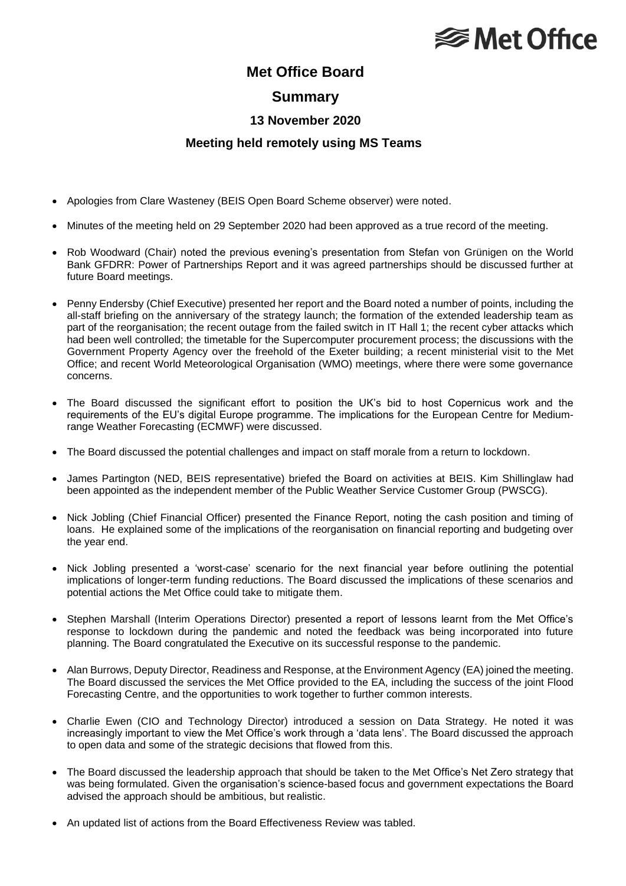# **<del></del>** Met Office

## **Met Office Board**

### **Summary**

#### **13 November 2020**

#### **Meeting held remotely using MS Teams**

- Apologies from Clare Wasteney (BEIS Open Board Scheme observer) were noted.
- Minutes of the meeting held on 29 September 2020 had been approved as a true record of the meeting.
- Rob Woodward (Chair) noted the previous evening's presentation from Stefan von Grünigen on the World Bank GFDRR: Power of Partnerships Report and it was agreed partnerships should be discussed further at future Board meetings.
- Penny Endersby (Chief Executive) presented her report and the Board noted a number of points, including the all-staff briefing on the anniversary of the strategy launch; the formation of the extended leadership team as part of the reorganisation; the recent outage from the failed switch in IT Hall 1; the recent cyber attacks which had been well controlled; the timetable for the Supercomputer procurement process; the discussions with the Government Property Agency over the freehold of the Exeter building; a recent ministerial visit to the Met Office; and recent World Meteorological Organisation (WMO) meetings, where there were some governance concerns.
- The Board discussed the significant effort to position the UK's bid to host Copernicus work and the requirements of the EU's digital Europe programme. The implications for the European Centre for Mediumrange Weather Forecasting (ECMWF) were discussed.
- The Board discussed the potential challenges and impact on staff morale from a return to lockdown.
- James Partington (NED, BEIS representative) briefed the Board on activities at BEIS. Kim Shillinglaw had been appointed as the independent member of the Public Weather Service Customer Group (PWSCG).
- Nick Jobling (Chief Financial Officer) presented the Finance Report, noting the cash position and timing of loans. He explained some of the implications of the reorganisation on financial reporting and budgeting over the year end.
- Nick Jobling presented a 'worst-case' scenario for the next financial year before outlining the potential implications of longer-term funding reductions. The Board discussed the implications of these scenarios and potential actions the Met Office could take to mitigate them.
- Stephen Marshall (Interim Operations Director) presented a report of lessons learnt from the Met Office's response to lockdown during the pandemic and noted the feedback was being incorporated into future planning. The Board congratulated the Executive on its successful response to the pandemic.
- Alan Burrows, Deputy Director, Readiness and Response, at the Environment Agency (EA) joined the meeting. The Board discussed the services the Met Office provided to the EA, including the success of the joint Flood Forecasting Centre, and the opportunities to work together to further common interests.
- Charlie Ewen (CIO and Technology Director) introduced a session on Data Strategy. He noted it was increasingly important to view the Met Office's work through a 'data lens'. The Board discussed the approach to open data and some of the strategic decisions that flowed from this.
- The Board discussed the leadership approach that should be taken to the Met Office's Net Zero strategy that was being formulated. Given the organisation's science-based focus and government expectations the Board advised the approach should be ambitious, but realistic.
- An updated list of actions from the Board Effectiveness Review was tabled.